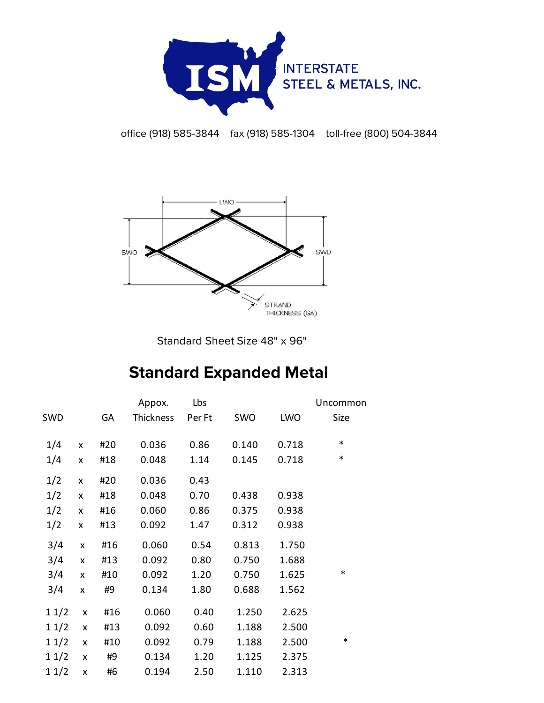

office (918) 585-3844 fax (918) 585-1304 toll-free (800) 504-3844



Standard Sheet Size 48" x 96"

## **Standard Expanded Metal**

|            |                    |     | Appox.    | Lbs    |       |       | Uncommon |
|------------|--------------------|-----|-----------|--------|-------|-------|----------|
| <b>SWD</b> |                    | GA  | Thickness | Per Ft | SWO   | LWO   | Size     |
|            |                    |     |           |        |       |       |          |
| 1/4        | X                  | #20 | 0.036     | 0.86   | 0.140 | 0.718 | $\ast$   |
| 1/4        | X                  | #18 | 0.048     | 1.14   | 0.145 | 0.718 | $\ast$   |
| 1/2        | X                  | #20 | 0.036     | 0.43   |       |       |          |
| 1/2        | X                  | #18 | 0.048     | 0.70   | 0.438 | 0.938 |          |
| 1/2        | $\pmb{\mathsf{x}}$ | #16 | 0.060     | 0.86   | 0.375 | 0.938 |          |
| 1/2        | X                  | #13 | 0.092     | 1.47   | 0.312 | 0.938 |          |
| 3/4        | $\pmb{\times}$     | #16 | 0.060     | 0.54   | 0.813 | 1.750 |          |
| 3/4        | $\pmb{\times}$     | #13 | 0.092     | 0.80   | 0.750 | 1.688 |          |
| 3/4        | $\mathsf{x}$       | #10 | 0.092     | 1.20   | 0.750 | 1.625 | $\ast$   |
| 3/4        | X                  | #9  | 0.134     | 1.80   | 0.688 | 1.562 |          |
| 11/2       | X                  | #16 | 0.060     | 0.40   | 1.250 | 2.625 |          |
| 11/2       | $\pmb{\mathsf{X}}$ | #13 | 0.092     | 0.60   | 1.188 | 2.500 |          |
| 11/2       | X                  | #10 | 0.092     | 0.79   | 1.188 | 2.500 | $\ast$   |
| 11/2       | X                  | #9  | 0.134     | 1.20   | 1.125 | 2.375 |          |
| 11/2       | X                  | #6  | 0.194     | 2.50   | 1.110 | 2.313 |          |